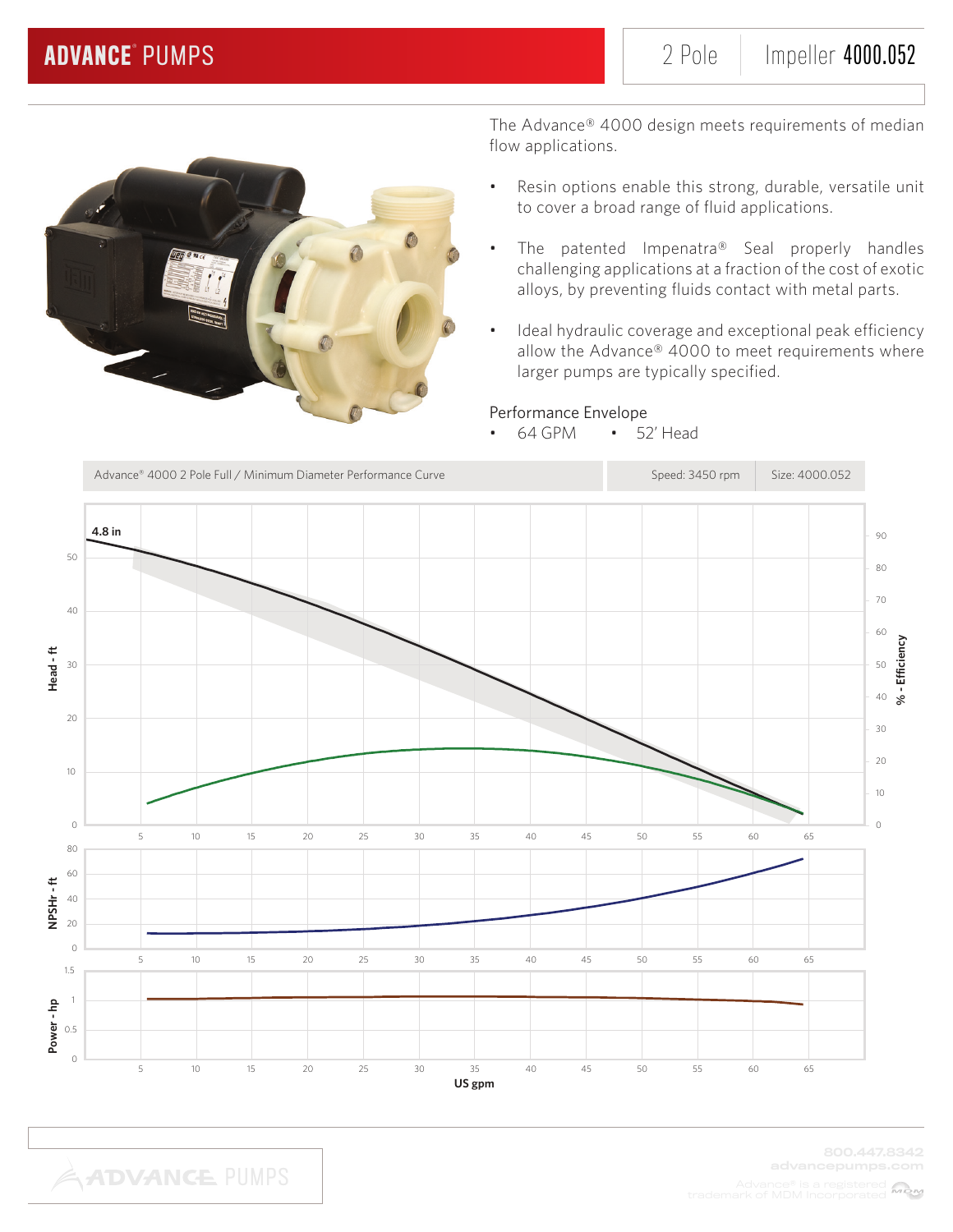

- Resin options enable this strong, durable, versatile unit to cover a broad range of fluid applications.
- The patented Impenatra® Seal properly handles challenging applications at a fraction of the cost of exotic alloys, by preventing fluids contact with metal parts.
- Ideal hydraulic coverage and exceptional peak efficiency allow the Advance® 4000 to meet requirements where larger pumps are typically specified.

## Performance Envelope

• 64 GPM • 52' Head

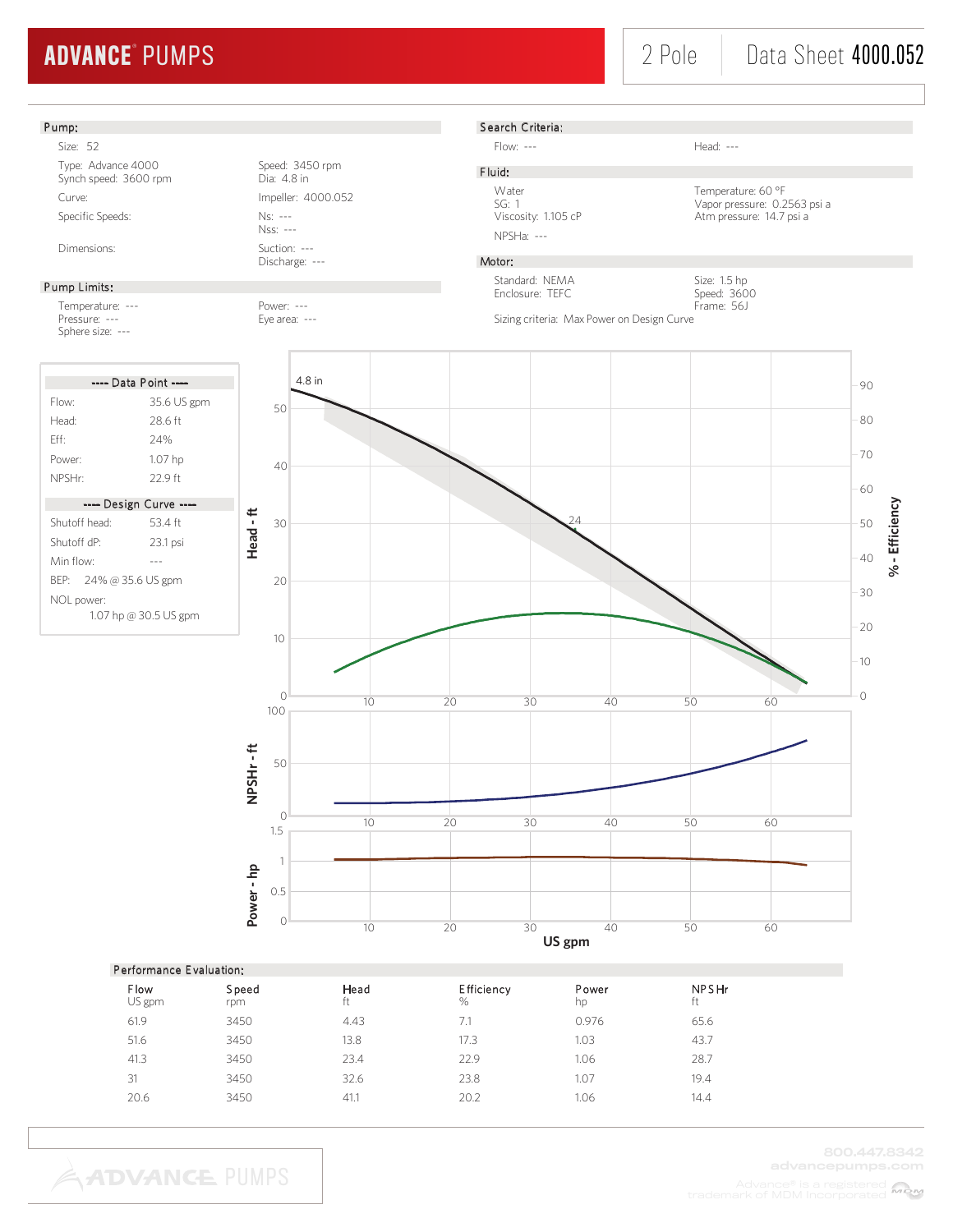# 2 Pole Data Sheet 4000.052

## Pump:

Size: 52 Type: Advance 4000<br>
Synch speed: 3600 rpm<br>
Dia: 4.8 in Synch speed: 3600 rpm Curve: Impeller: 4000.052 Specific Speeds: Ns: ---

#### Pump Limits:

Temperature: --- Power: --- Pressure: --- Eye area: ---Sphere size: ---

| ---- Data Point ----                |             |  |  |  |
|-------------------------------------|-------------|--|--|--|
| Flow:                               | 35.6 US gpm |  |  |  |
| Head <sup>.</sup>                   | 28 6 ft     |  |  |  |
| Fff                                 | 24%         |  |  |  |
| Power:                              | 1.07 hp     |  |  |  |
| NPSHr:                              | 22.9 ft     |  |  |  |
| ---- Design Curve ----              |             |  |  |  |
| Shutoff head:                       | 534ft       |  |  |  |
| Shutoff dP:                         | 23.1 psi    |  |  |  |
| Min flow:                           |             |  |  |  |
| BEP: 24% @ 35.6 US gpm              |             |  |  |  |
| NOL power:<br>1.07 hp @ 30.5 US gpm |             |  |  |  |

Nss: --- Dimensions: Suction: ---

Discharge: ---

# S earch Criteria:

Flow: --- Head: ---

# F luid:

NPSHa: ---

Water Temperature: 60 °F<br>SG: 1 Vapor pressure: 0.2 SG: 1 Vapor pressure: 0.2563 psi a<br>Viscosity: 1.105 cP Atm pressure: 14.7 psi a Atm pressure: 14.7 psi a

> Size: 1.5 hp Speed: 3600

## Motor:

Standard: NEMA Enclosure: TEFC

Frame: 56J Sizing criteria: Max Power on Design Curve



### Performance E valuation:

| <b>Flow</b><br>US gpm | Speed<br>rpm | Head<br>ft | <b>Efficiency</b><br>% | Power<br>hp | <b>NPSHr</b><br>ft |
|-----------------------|--------------|------------|------------------------|-------------|--------------------|
| 61.9                  | 3450         | 4.43       | 7.1                    | 0.976       | 65.6               |
| 51.6                  | 3450         | 13.8       | 17.3                   | 1.03        | 43.7               |
| 41.3                  | 3450         | 23.4       | 22.9                   | 1.06        | 28.7               |
| 31                    | 3450         | 32.6       | 23.8                   | 1.07        | 19.4               |
| 20.6                  | 3450         | 41.1       | 20.2                   | 1.06        | 14.4               |
|                       |              |            |                        |             |                    |

**ADVANCE PUMPS**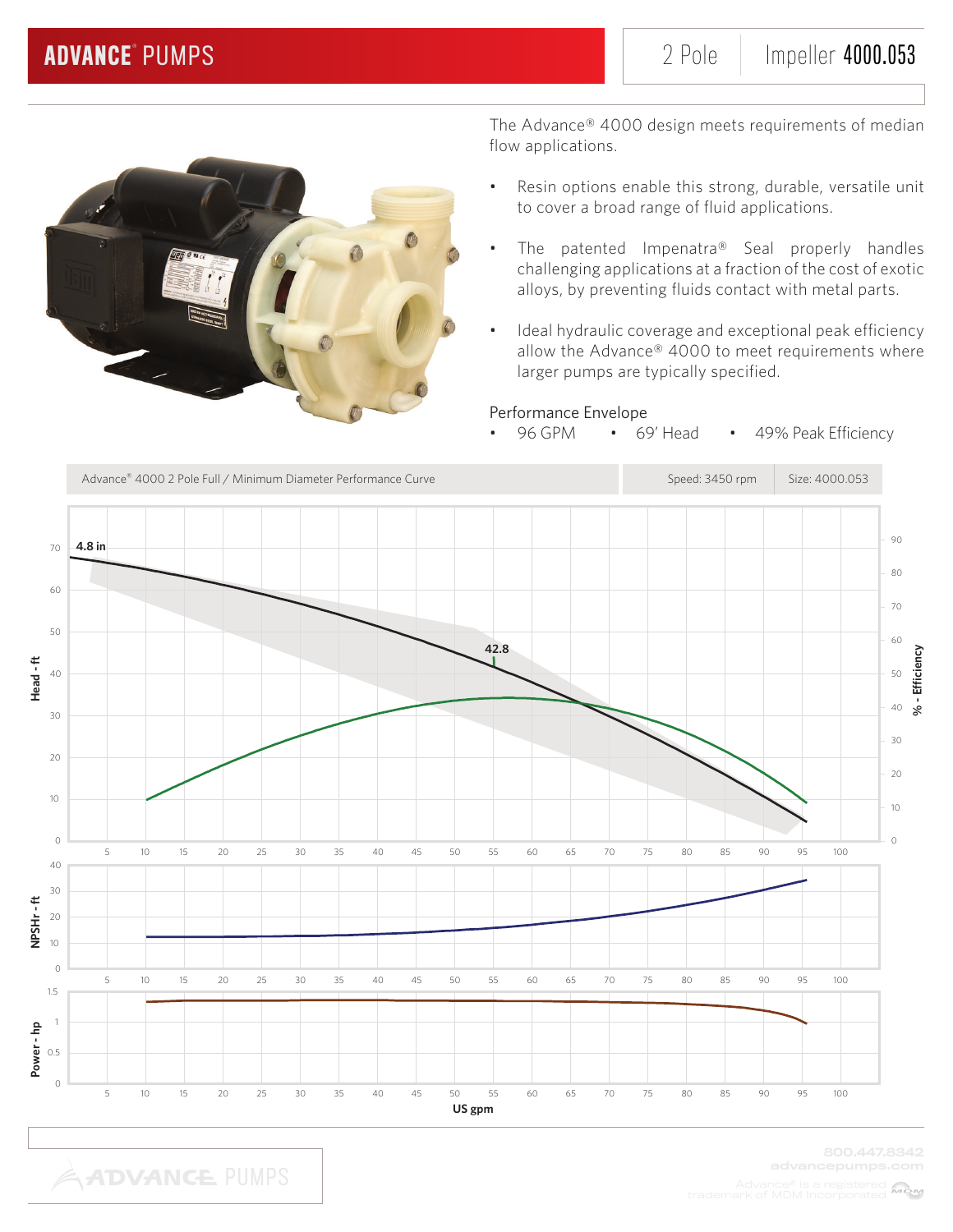

The Advance® 4000 design meets requirements of median flow applications.

- Resin options enable this strong, durable, versatile unit to cover a broad range of fluid applications.
- The patented Impenatra® Seal properly handles challenging applications at a fraction of the cost of exotic alloys, by preventing fluids contact with metal parts.
- Ideal hydraulic coverage and exceptional peak efficiency allow the Advance® 4000 to meet requirements where larger pumps are typically specified.

## Performance Envelope

• 96 GPM • 69' Head • 49% Peak Efficiency

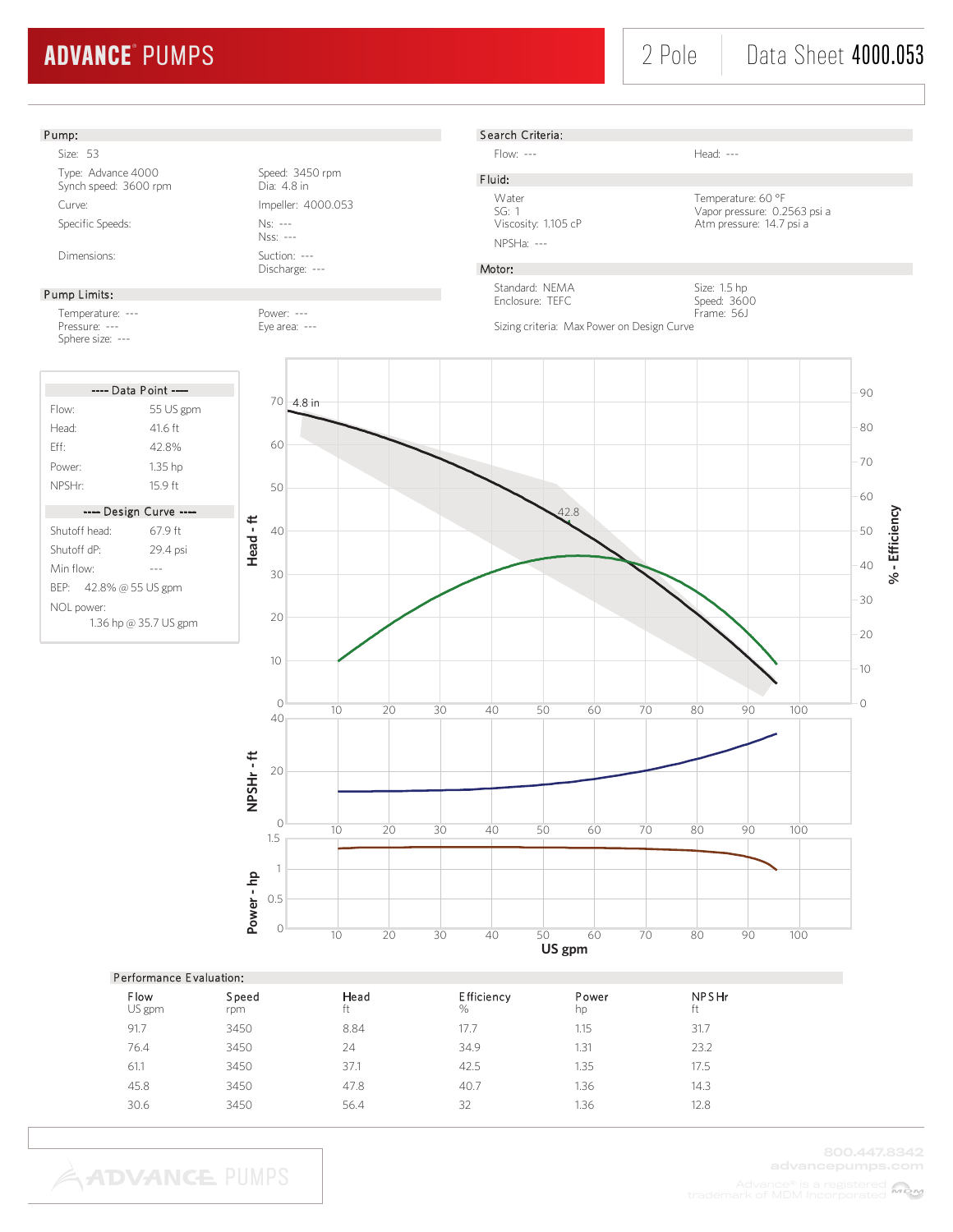Atm pressure: 14.7 psi a

Size: 1.5 hp Speed: 3600 Frame: 56J

#### Pump:

Size: 53 Type: Advance 4000<br>
Synch speed: 3600 rpm<br>
Dia: 4.8 in Synch speed: 3600 rpm Curve: Impeller: 4000.053 Specific Speeds: Ns: ---

#### Pump Limits:

Temperature: ---<br>Pressure: --- Pressure: --- Pressure: ---Sphere size: ---

| ---- Data Point ----                |                        |  |  |  |
|-------------------------------------|------------------------|--|--|--|
| Flow:                               | 55 US gpm              |  |  |  |
| Head <sup>.</sup>                   | 41 6 ft                |  |  |  |
| Fff                                 | 428%                   |  |  |  |
| Power:                              | 1.35 hp                |  |  |  |
| NPSHr:                              | 159ft                  |  |  |  |
|                                     | ---- Design Curve ---- |  |  |  |
| Shutoff head:                       | 679ft                  |  |  |  |
| Shutoff dP <sup>.</sup>             | 29.4 psi               |  |  |  |
| Min flow <sup>.</sup>               |                        |  |  |  |
| BEP: 42.8% @ 55 US gpm              |                        |  |  |  |
| NOL power:<br>1.36 hp @ 35.7 US gpm |                        |  |  |  |

Nss: --- Dimensions: Suction: ---

Discharge: ---

Eye area: ---



S earch Criteria:

NPSHa: ---

Standard: NEMA Enclosure: TEFC

F luid:

Motor:

Flow: --- Head: ---

Water Temperature: 60 °F<br>SG: 1 Vapor pressure: 0.2 SG: 1 Vapor pressure: 0.2563 psi a<br>Viscosity: 1.105 cP Atm pressure: 14.7 psi a

|                | Performance Evaluation: |            |                    |             |                    |  |  |  |
|----------------|-------------------------|------------|--------------------|-------------|--------------------|--|--|--|
| Flow<br>US gpm | Speed<br>rpm            | Head<br>ft | Efficiency<br>$\%$ | Power<br>hp | <b>NPSHr</b><br>ft |  |  |  |
| 91.7           | 3450                    | 8.84       | 17.7               | 1.15        | 31.7               |  |  |  |
| 76.4           | 3450                    | 24         | 34.9               | 1.31        | 23.2               |  |  |  |
| 61.1           | 3450                    | 37.1       | 42.5               | 1.35        | 17.5               |  |  |  |
| 45.8           | 3450                    | 47.8       | 40.7               | 1.36        | 14.3               |  |  |  |
| 30.6           | 3450                    | 56.4       | 32                 | 1.36        | 12.8               |  |  |  |
|                |                         |            |                    |             |                    |  |  |  |

**ADVANCE PUMPS**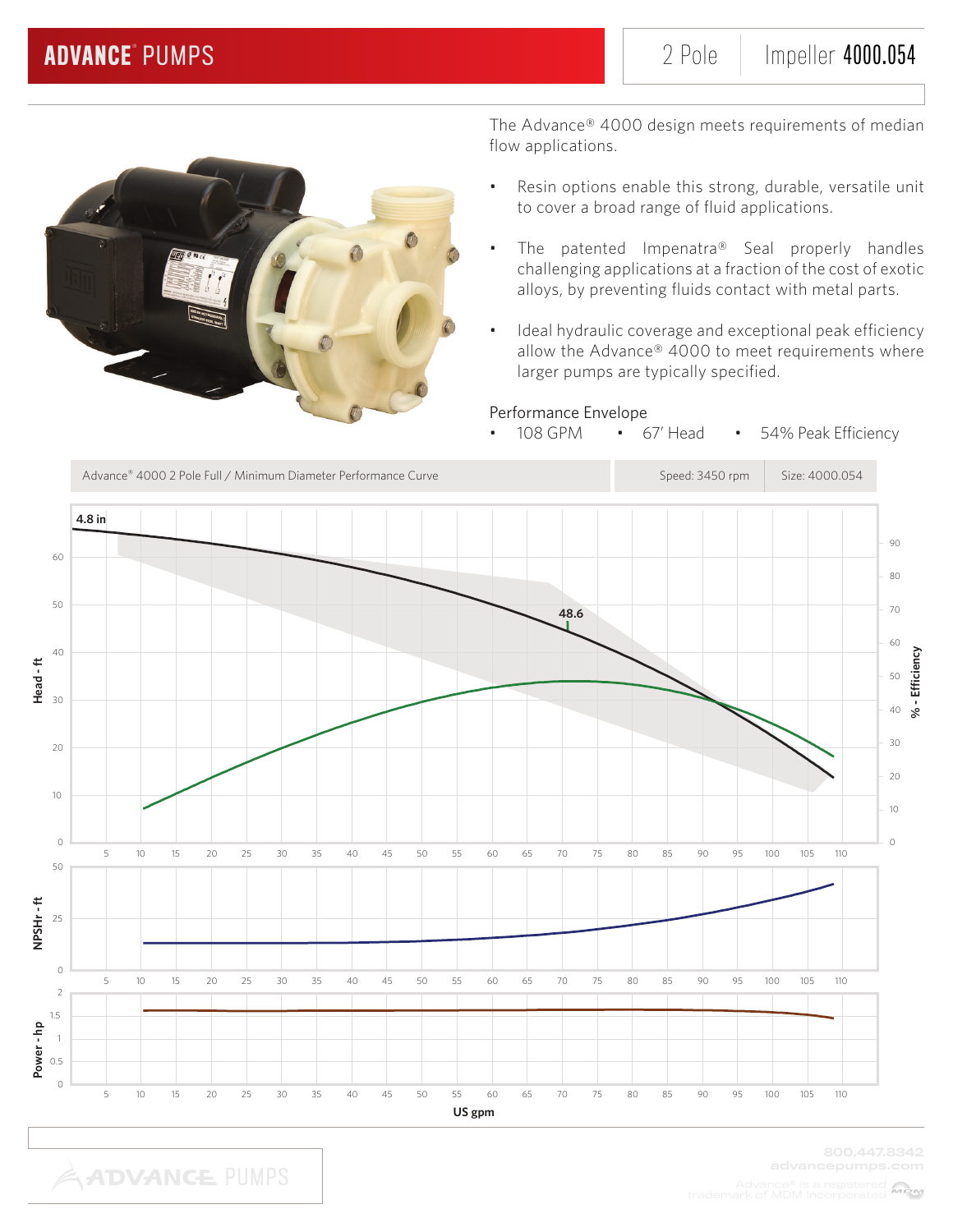

- Resin options enable this strong, durable, versatile unit to cover a broad range of fluid applications.
- The patented Impenatra® Seal properly handles challenging applications at a fraction of the cost of exotic alloys, by preventing fluids contact with metal parts.
- Ideal hydraulic coverage and exceptional peak efficiency allow the Advance® 4000 to meet requirements where larger pumps are typically specified.

## Performance Envelope

108 GPM • 67' Head • 54% Peak Efficiency

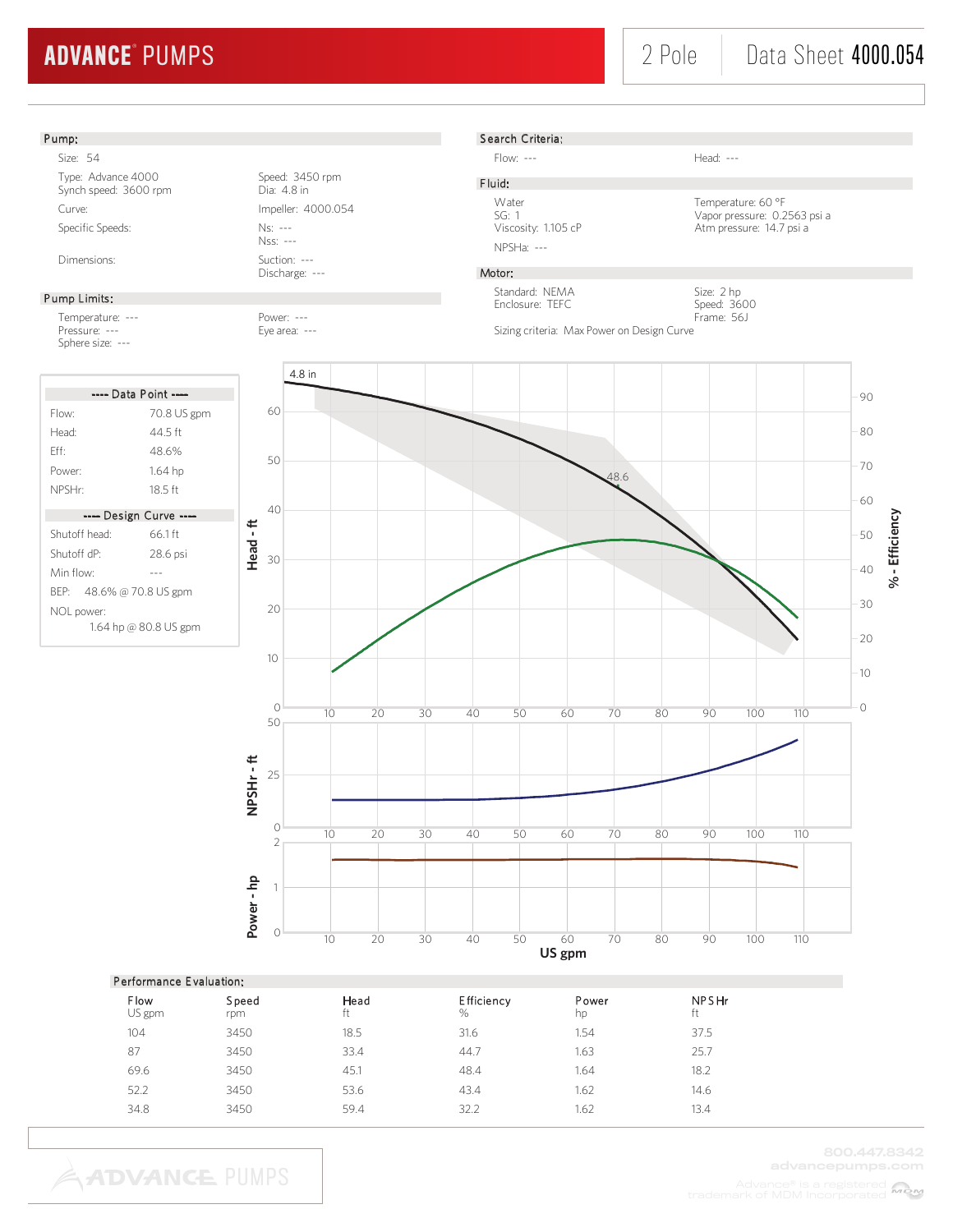

|  | <b>Flow</b><br>US gpm | Speed<br>rpm | Head<br>ft | <b>Efficiency</b><br>% | Power<br>hp | <b>NPSHr</b><br>ft |
|--|-----------------------|--------------|------------|------------------------|-------------|--------------------|
|  | 104                   | 3450         | 18.5       | 31.6                   | 1.54        | 37.5               |
|  | 87                    | 3450         | 33.4       | 44.7                   | 1.63        | 25.7               |
|  | 69.6                  | 3450         | 45.1       | 48.4                   | 1.64        | 18.2               |
|  | 52.2                  | 3450         | 53.6       | 43.4                   | 1.62        | 14.6               |
|  | 34.8                  | 3450         | 59.4       | 32.2                   | 1.62        | 13.4               |
|  |                       |              |            |                        |             |                    |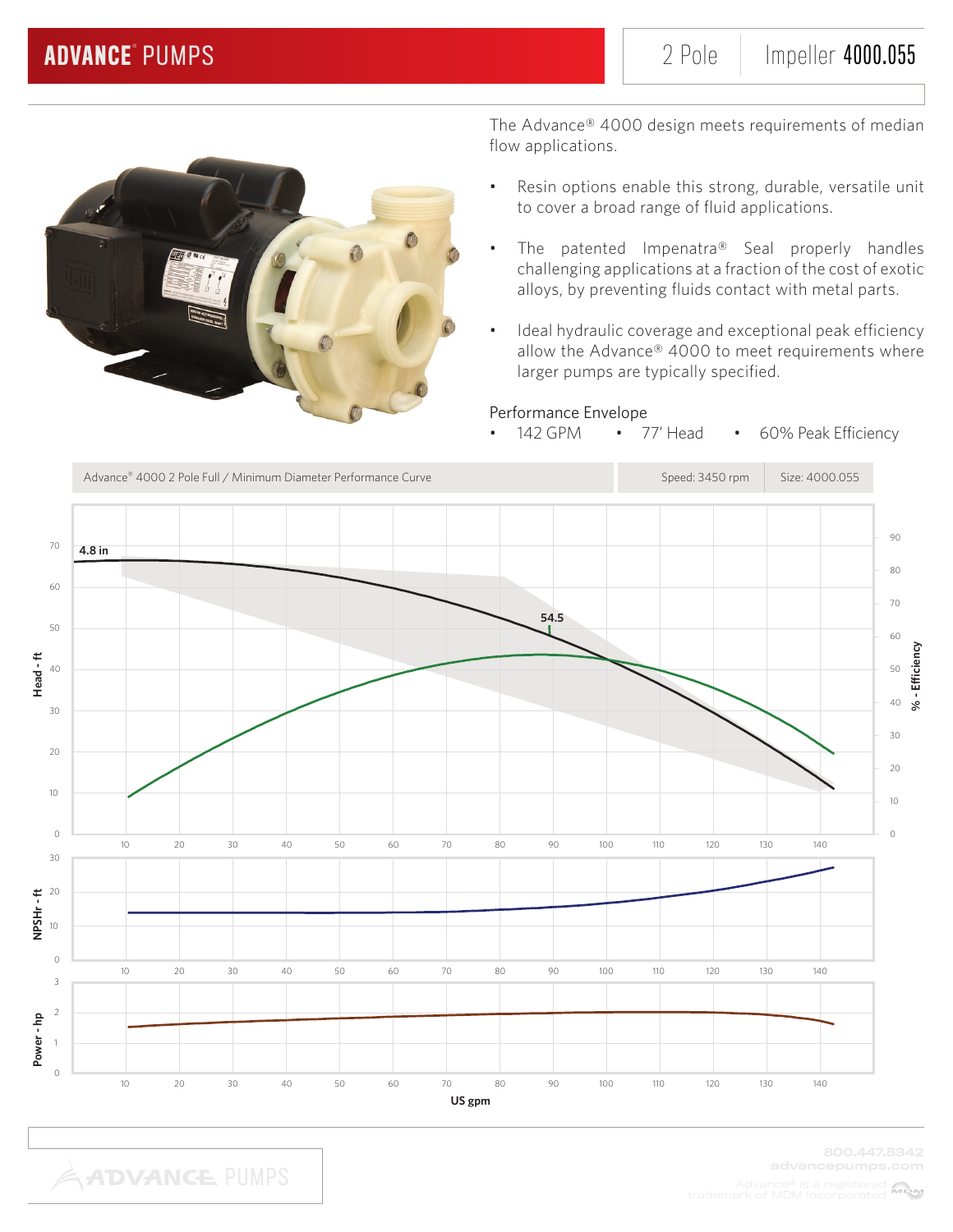

- Resin options enable this strong, durable, versatile unit to cover a broad range of fluid applications.
- The patented Impenatra® Seal properly handles challenging applications at a fraction of the cost of exotic alloys, by preventing fluids contact with metal parts.
- Ideal hydraulic coverage and exceptional peak efficiency allow the Advance® 4000 to meet requirements where larger pumps are typically specified.

## Performance Envelope

• 142 GPM • 77' Head • 60% Peak Efficiency

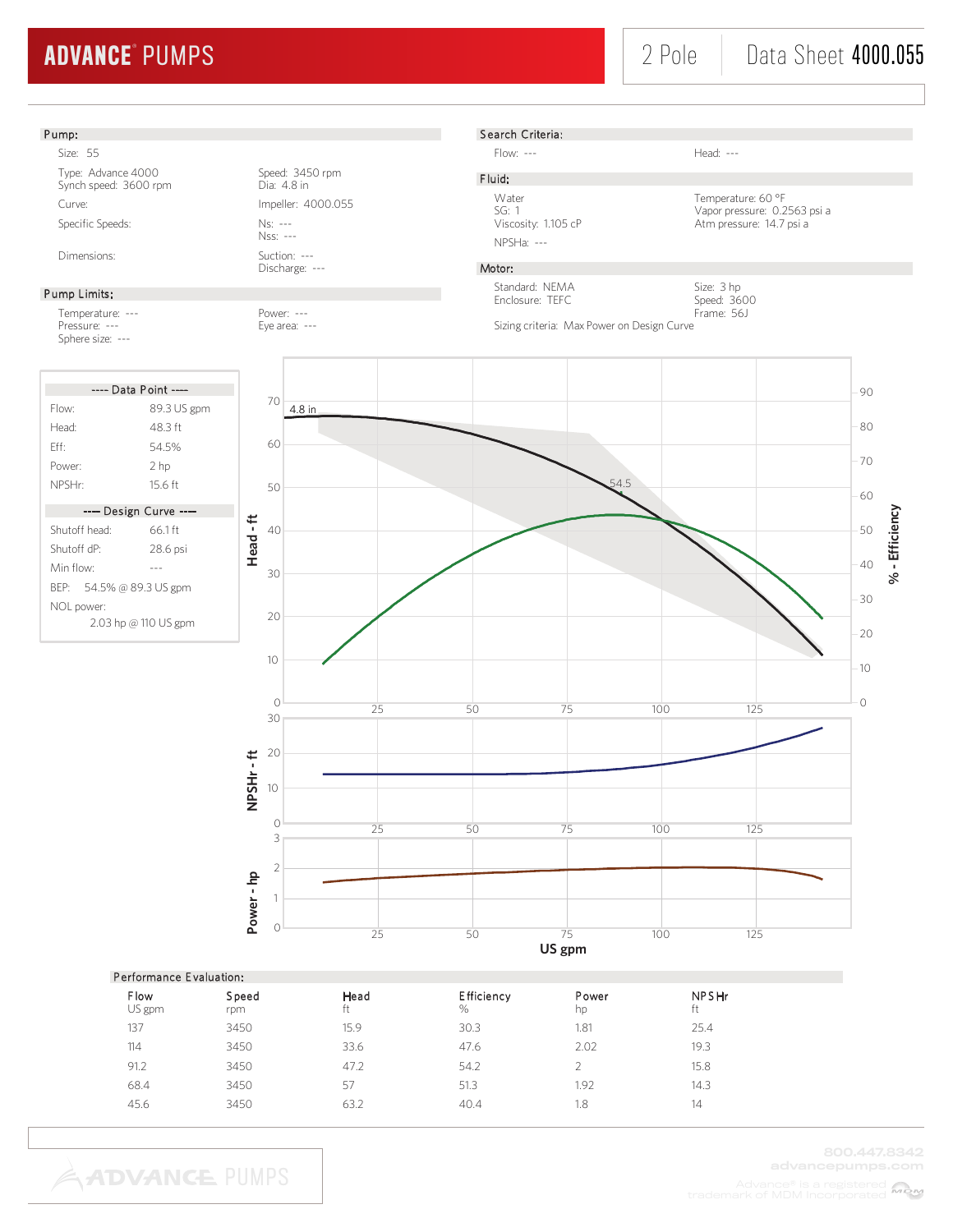# 2 Pole | Data Sheet 4000.055

#### Pump:

Size: 55 Type: Advance 4000<br>
Synch speed: 3600 rpm<br>
Dia: 4.8 in Synch speed: 3600 rpm Curve: Curve: Impeller: 4000.055 Specific Speeds: Ns: ---

#### Pump Limits:

Temperature: --- Power: --- Pressure: --- Eye area: ---Sphere size: ---

|                                    | ---- Data Point ----   |  |  |
|------------------------------------|------------------------|--|--|
| Flow:                              | 89.3 US gpm            |  |  |
| Head <sup>.</sup>                  | 48 3 ft                |  |  |
| Fff                                | 54.5%                  |  |  |
| Power:                             | 2 hp                   |  |  |
| NPSHr:                             | 15.6 ft                |  |  |
|                                    | ---- Design Curve ---- |  |  |
| Shutoff head:                      | 661ft                  |  |  |
| Shutoff dP <sup>.</sup>            | 28.6 psi               |  |  |
| Min flow <sup>.</sup>              |                        |  |  |
| BEP: 54.5% @ 89.3 US gpm           |                        |  |  |
| NOL power:<br>2.03 hp @ 110 US gpm |                        |  |  |

Nss: --- Dimensions: Suction: ---

Discharge: ---



Flow: --- Head: ---

F luid:

Water Temperature: 60 °F<br>SG: 1 Vapor pressure: 0.2 SG: 1 Vapor pressure: 0.2563 psi a Viscosity: 1.105 cP Atm pressure: 14.7 psi a

## Motor:

NPSHa: ---

Standard: NEMA Enclosure: TEFC



Sizing criteria: Max Power on Design Curve



|                | Performance Evaluation: |            |                           |             |                    |  |  |  |
|----------------|-------------------------|------------|---------------------------|-------------|--------------------|--|--|--|
| Flow<br>US gpm | Speed<br>rpm            | Head<br>ft | <b>Efficiency</b><br>$\%$ | Power<br>hp | <b>NPSHr</b><br>ft |  |  |  |
| 137            | 3450                    | 15.9       | 30.3                      | 1.81        | 25.4               |  |  |  |
| 114            | 3450                    | 33.6       | 47.6                      | 2.02        | 19.3               |  |  |  |
| 91.2           | 3450                    | 47.2       | 54.2                      |             | 15.8               |  |  |  |
| 68.4           | 3450                    | 57         | 51.3                      | 1.92        | 14.3               |  |  |  |
| 45.6           | 3450                    | 63.2       | 40.4                      | 1.8         | 14                 |  |  |  |
|                |                         |            |                           |             |                    |  |  |  |

**ADVANCE PUMPS**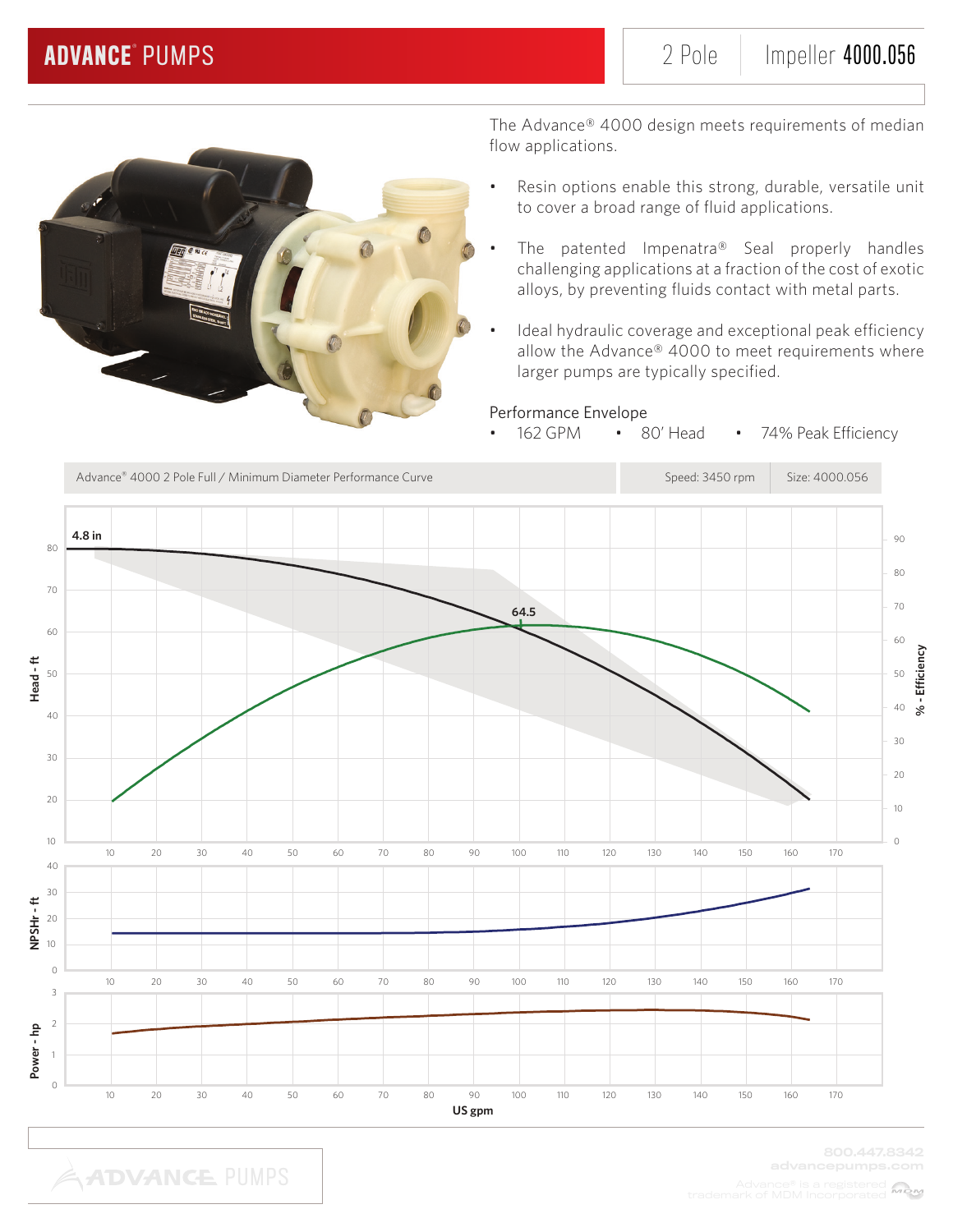

The Advance® 4000 design meets requirements of median flow applications.

- Resin options enable this strong, durable, versatile unit to cover a broad range of fluid applications.
- The patented Impenatra® Seal properly handles challenging applications at a fraction of the cost of exotic alloys, by preventing fluids contact with metal parts.
- Ideal hydraulic coverage and exceptional peak efficiency allow the Advance® 4000 to meet requirements where larger pumps are typically specified.

## Performance Envelope

• 162 GPM • 80' Head • 74% Peak Efficiency

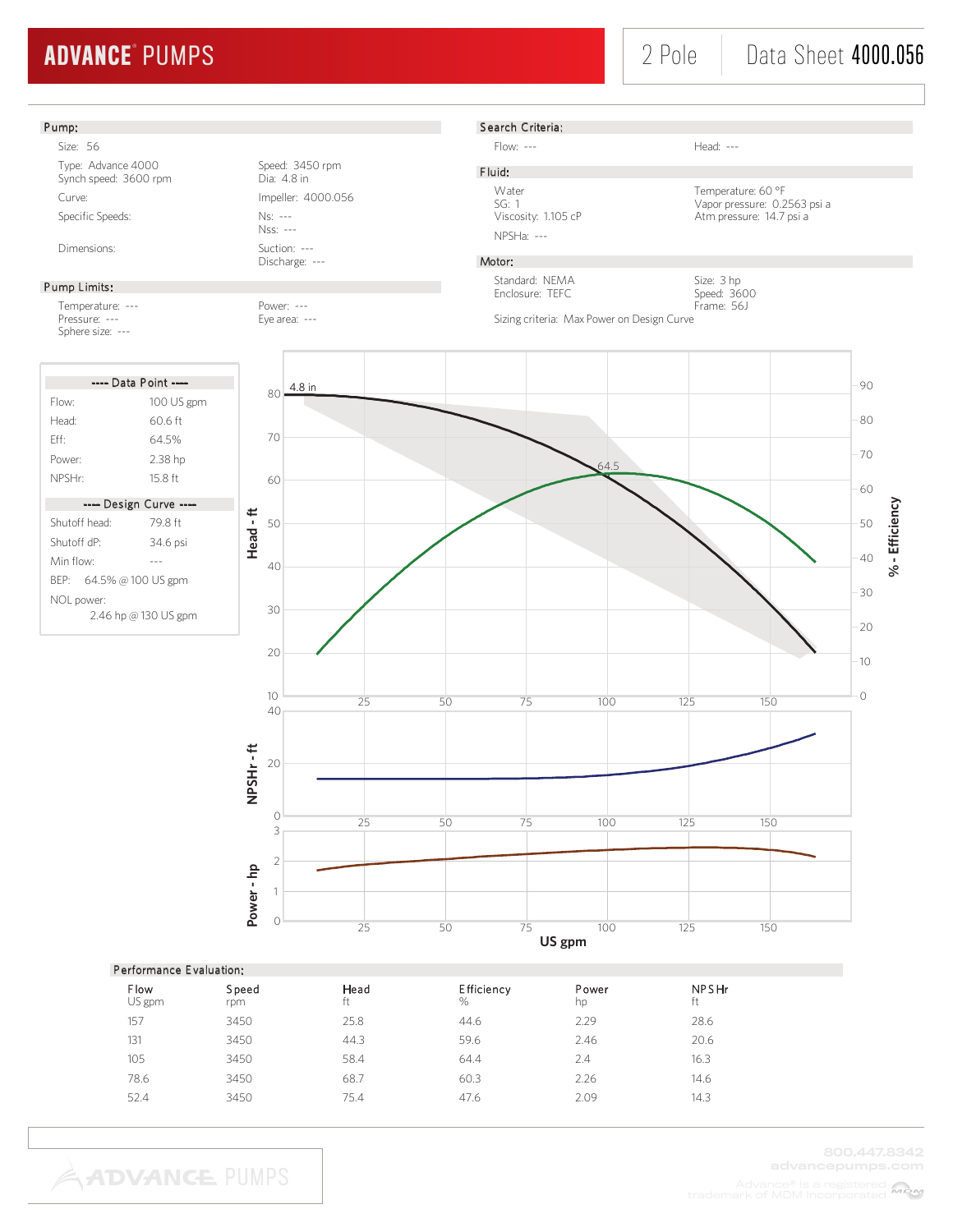#### Pump: S earch Criteria: Size: 56 Flow: --- Head: ---Type: Advance 4000<br>
Synch speed: 3600 rpm<br>
Dia: 4.8 in F luid: Synch speed: 3600 rpm Water Temperature: 60 °F<br>SG: 1 Vapor pressure: 0.2 Curve: Curve: Impeller: 4000.056 SG: 1 Vapor pressure: 0.2563 psi a<br>Viscosity: 1.105 cP Atm pressure: 14.7 psi a Specific Speeds: Ns: ---Atm pressure: 14.7 psi a Nss: --- NPSHa: --- Dimensions: Suction: ---Discharge: --- Motor: Standard: NEMA Size: 3 hp Pump Limits: Enclosure: TEFC Speed: 3600 Temperature: --- Power: --- Frame: 56J Sizing criteria: Max Power on Design Curve Pressure: --- Eye area: ---Sphere size: --- ---- Data Point ----4.8 in 90 80 Flow: 100 US gpm 80 Head: 60.6 ft 70 Eff: 64.5% 70 Power: 2.38 hp 64.5 NPSHr: 15.8 ft 60 60 ---- Design Curve ---- **% - Efficiency Head - ft** 50 Shutoff head: 79.8 ft 50 Shutoff dP: 34.6 psi 40 Min flow: --- 40 BEP: 64.5% @ 100 US gpm 30 NOL power: 30 2.46 hp @ 130 US gpm 20 20 10  $\overline{O}$  $\frac{10}{25}$  100 125 150 25 50 75 40 NPSHr-ft **NPSHr - ft** 20 <sup>50</sup> <sup>75</sup> <sup>100</sup> <sup>125</sup> <sup>150</sup> <sup>0</sup> <sup>25</sup> 3 2 **Power - hp** 1  $\frac{1}{25}$   $\frac{1}{50}$   $\frac{1}{75}$   $\frac{1}{100}$   $\frac{1}{125}$   $\frac{1}{150}$ **US gpm**

### Performance E valuation:

| <b>Flow</b><br>US gpm | Speed<br>rpm | Head<br>ft | Efficiency<br>% | Power<br>hp | <b>NPSHr</b><br>ft |
|-----------------------|--------------|------------|-----------------|-------------|--------------------|
| 157                   | 3450         | 25.8       | 44.6            | 2.29        | 28.6               |
| 131                   | 3450         | 44.3       | 59.6            | 2.46        | 20.6               |
| 105                   | 3450         | 58.4       | 64.4            | 2.4         | 16.3               |
| 78.6                  | 3450         | 68.7       | 60.3            | 2.26        | 14.6               |
| 52.4                  | 3450         | 75.4       | 47.6            | 2.09        | 14.3               |
|                       |              |            |                 |             |                    |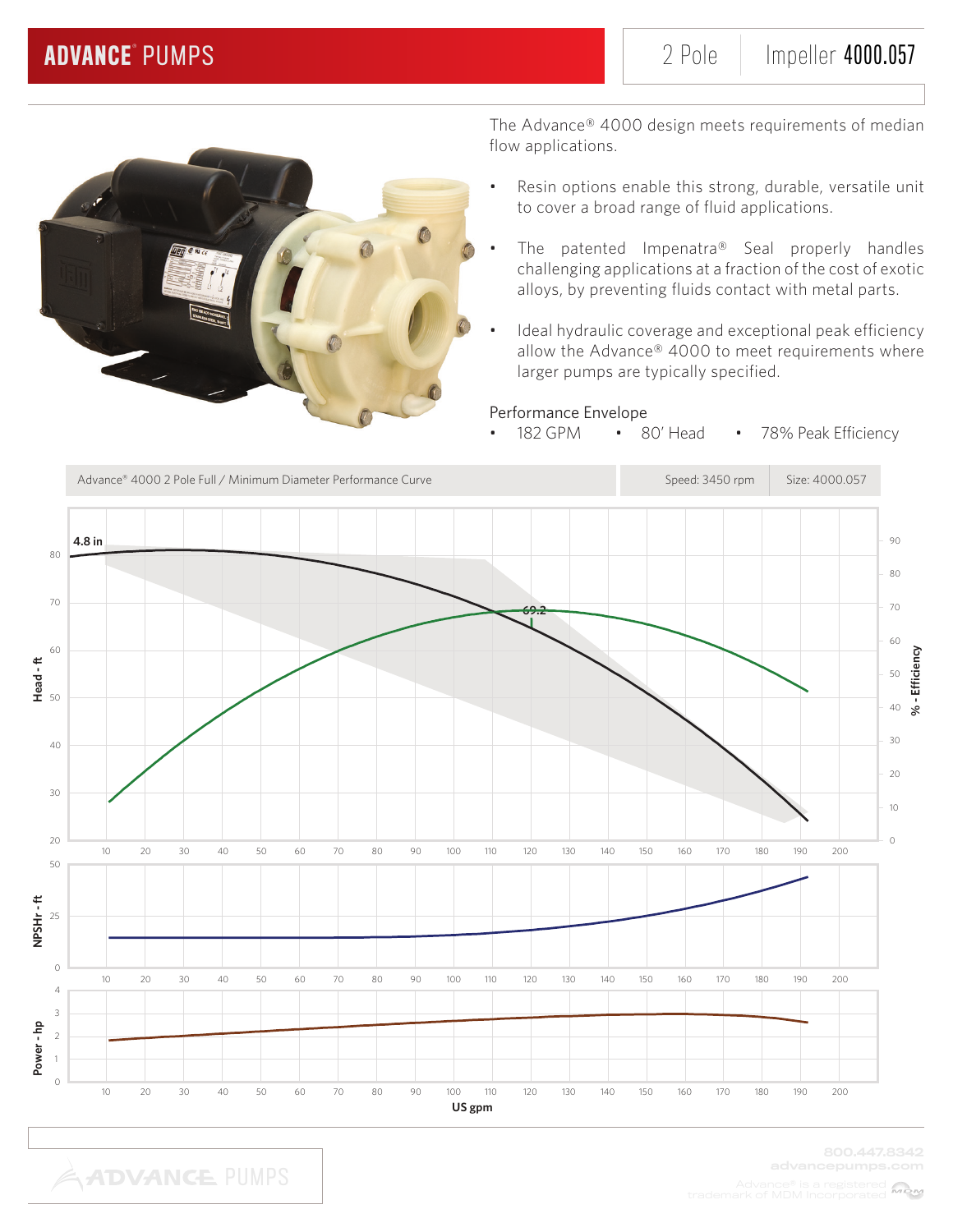

The Advance® 4000 design meets requirements of median flow applications.

- Resin options enable this strong, durable, versatile unit to cover a broad range of fluid applications.
- The patented Impenatra® Seal properly handles challenging applications at a fraction of the cost of exotic alloys, by preventing fluids contact with metal parts.
- Ideal hydraulic coverage and exceptional peak efficiency allow the Advance® 4000 to meet requirements where larger pumps are typically specified.

## Performance Envelope

• 182 GPM • 80' Head • 78% Peak Efficiency

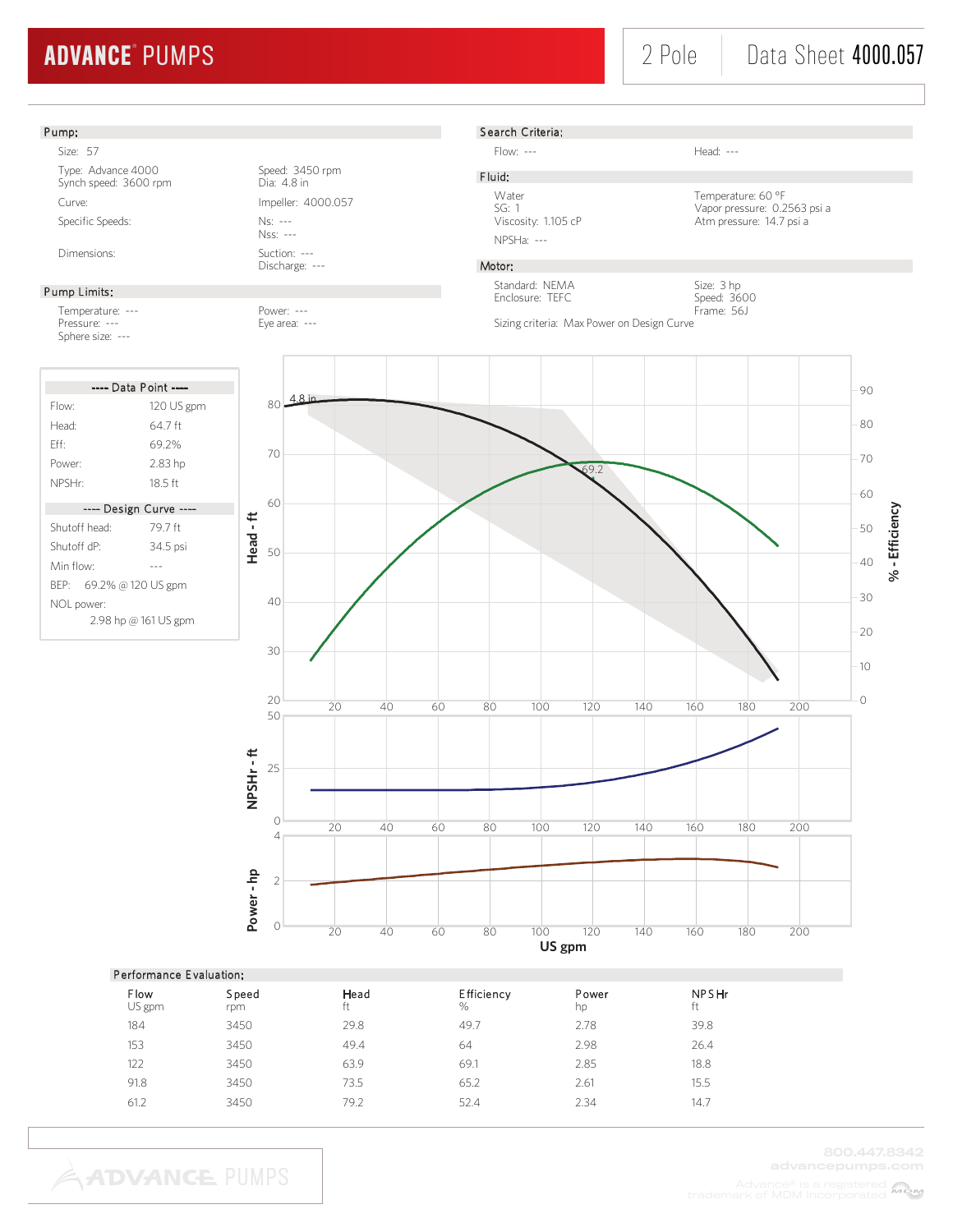# 2 Pole | Data Sheet 4000.057



| FUIDIMENTE EVAILLATURI. |              |            |                    |             |                    |  |  |
|-------------------------|--------------|------------|--------------------|-------------|--------------------|--|--|
| Flow<br>US gpm          | Speed<br>rpm | Head<br>ft | Efficiency<br>$\%$ | Power<br>hp | <b>NPSHr</b><br>ft |  |  |
| 184                     | 3450         | 29.8       | 49.7               | 2.78        | 39.8               |  |  |
| 153                     | 3450         | 49.4       | 64                 | 2.98        | 26.4               |  |  |
| 122                     | 3450         | 63.9       | 69.1               | 2.85        | 18.8               |  |  |
| 91.8                    | 3450         | 73.5       | 65.2               | 2.61        | 15.5               |  |  |
| 61.2                    | 3450         | 79.2       | 52.4               | 2.34        | 14.7               |  |  |
|                         |              |            |                    |             |                    |  |  |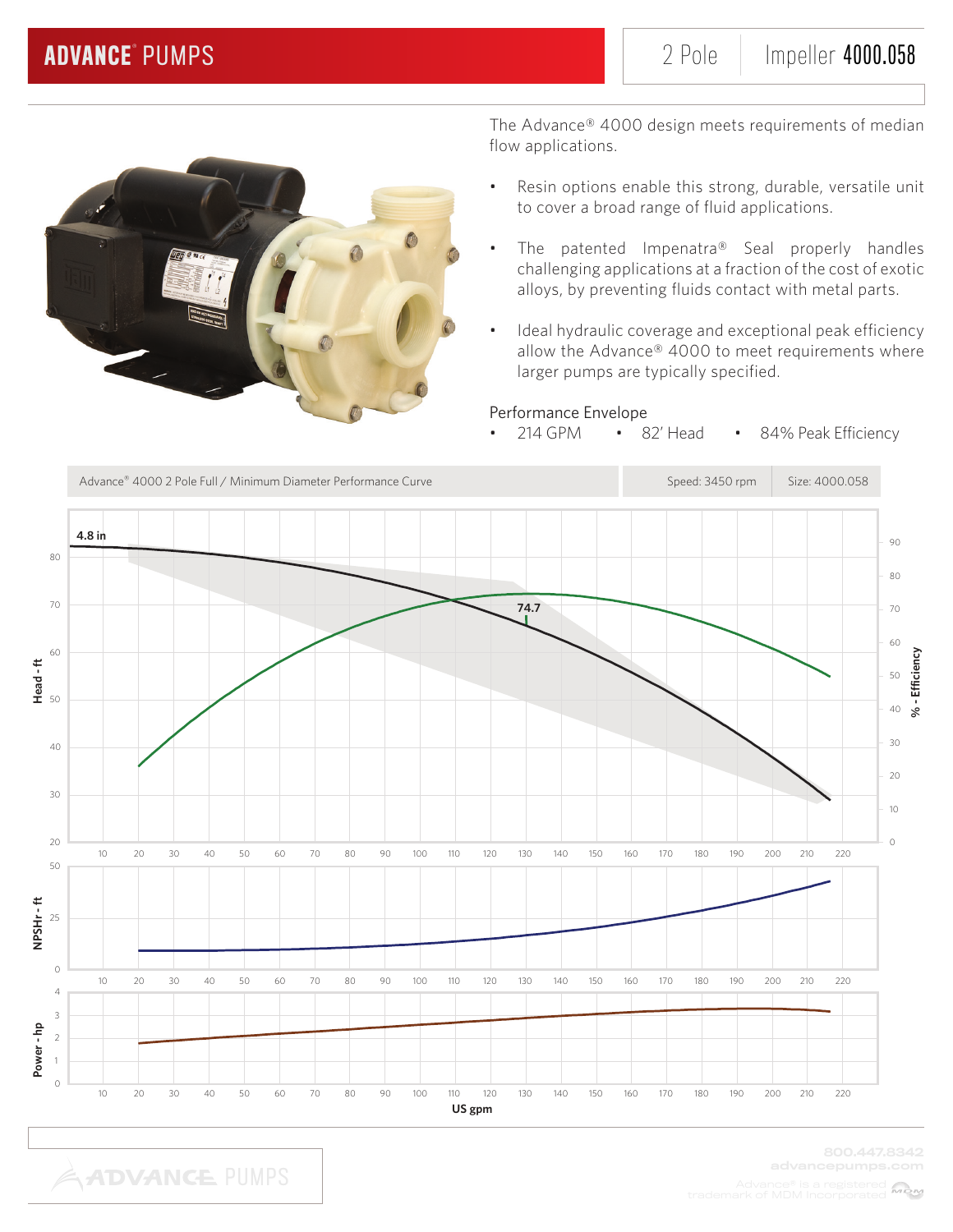

- Resin options enable this strong, durable, versatile unit to cover a broad range of fluid applications.
- The patented Impenatra® Seal properly handles challenging applications at a fraction of the cost of exotic alloys, by preventing fluids contact with metal parts.
- Ideal hydraulic coverage and exceptional peak efficiency allow the Advance® 4000 to meet requirements where larger pumps are typically specified.

## Performance Envelope

214 GPM • 82' Head • 84% Peak Efficiency

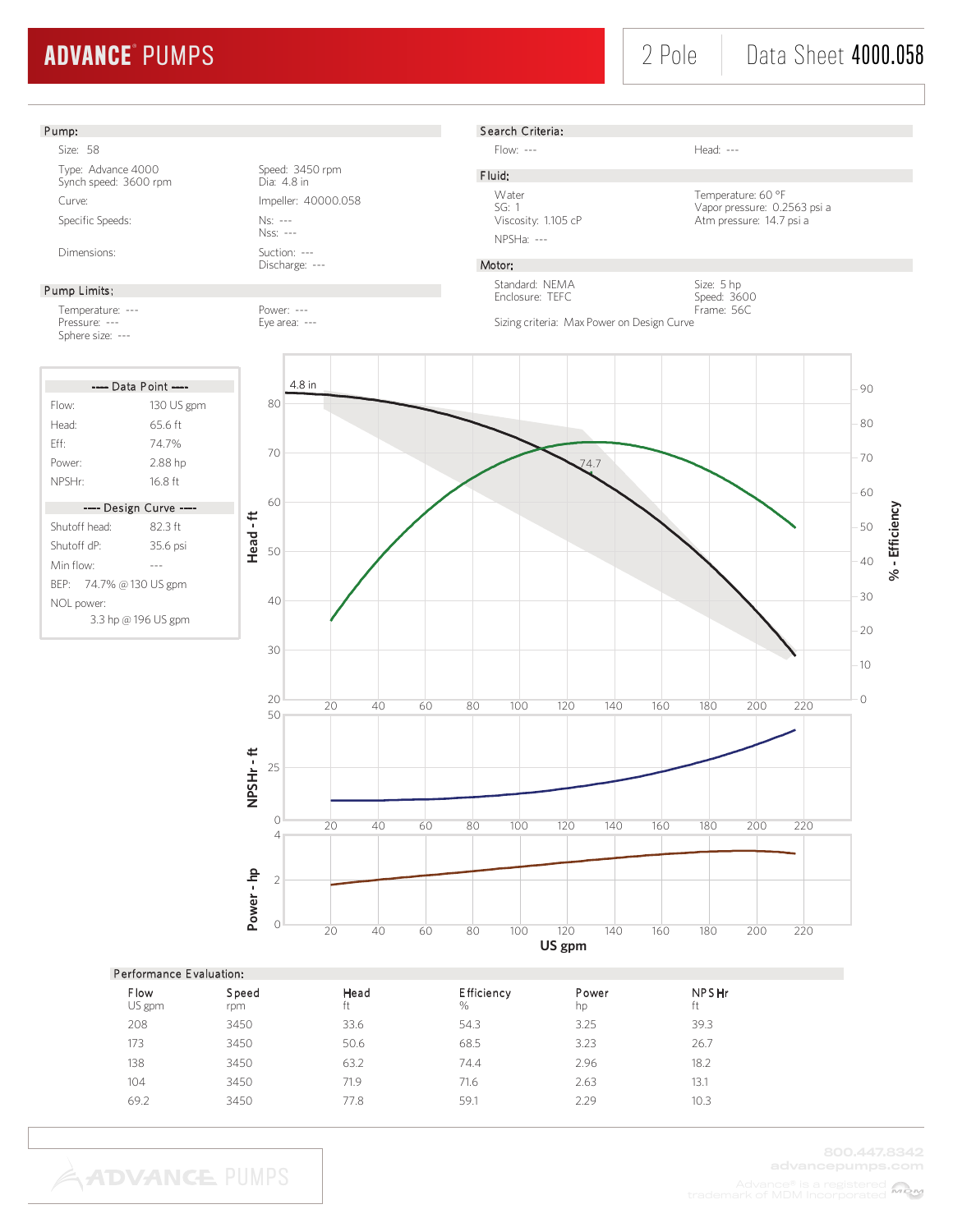Size: 5 hp Speed: 3600

### Pump:

Size: 58

Type: Advance 4000 Speed: 3450 rpm<br>Synch speed: 3600 rpm<br>Dia: 4.8 in Synch speed: 3600 rpm Curve: Impeller: 40000.058 Specific Speeds: Ns: ---

### Pump Limits:

Temperature: --- Power: --- Pressure: --- Eye area: ---Sphere size: ---

| ---- Data Point ----    |            |  |  |  |
|-------------------------|------------|--|--|--|
| Flow:                   | 130 US gpm |  |  |  |
| Head:                   | 65 6 ft    |  |  |  |
| Fff                     | 747%       |  |  |  |
| Power <sup>.</sup>      | 2.88 hp    |  |  |  |
| NPSHr:                  | 16 8 ft    |  |  |  |
|                         |            |  |  |  |
| ---- Design Curve ----  |            |  |  |  |
| Shutoff head:           | 82.3 ft    |  |  |  |
| Shutoff dP <sup>.</sup> | 35.6 psi   |  |  |  |
| Min flow <sup>.</sup>   |            |  |  |  |
| BEP: 74.7% @ 130 US gpm |            |  |  |  |
| NOL power:              |            |  |  |  |
| 3.3 hp @ 196 US gpm     |            |  |  |  |

Nss: --- Dimensions: Suction: ---

Discharge: ---

# S earch Criteria:

Flow: --- Head: ---

NPSHa: ---

Water Temperature: 60 °F SG: 1<br>Vapor pressure: 0.2563 psi a<br>Viscosity: 1.105 cP<br>Atm pressure: 14.7 psi a Atm pressure: 14.7 psi a

## Motor:

F luid:

Standard: NEMA Enclosure: TEFC

Frame: 56C Sizing criteria: Max Power on Design Curve



|                | Performance Evaluation: |            |                 |             |                    |  |  |  |
|----------------|-------------------------|------------|-----------------|-------------|--------------------|--|--|--|
| Flow<br>US gpm | Speed<br>rpm            | Head<br>ft | Efficiency<br>% | Power<br>hp | <b>NPSHr</b><br>ft |  |  |  |
| 208            | 3450                    | 33.6       | 54.3            | 3.25        | 39.3               |  |  |  |
| 173            | 3450                    | 50.6       | 68.5            | 3.23        | 26.7               |  |  |  |
| 138            | 3450                    | 63.2       | 74.4            | 2.96        | 18.2               |  |  |  |
| 104            | 3450                    | 71.9       | 71.6            | 2.63        | 13.1               |  |  |  |
| 69.2           | 3450                    | 77.8       | 59.1            | 2.29        | 10.3               |  |  |  |
|                |                         |            |                 |             |                    |  |  |  |

**ADVANCE PUMPS**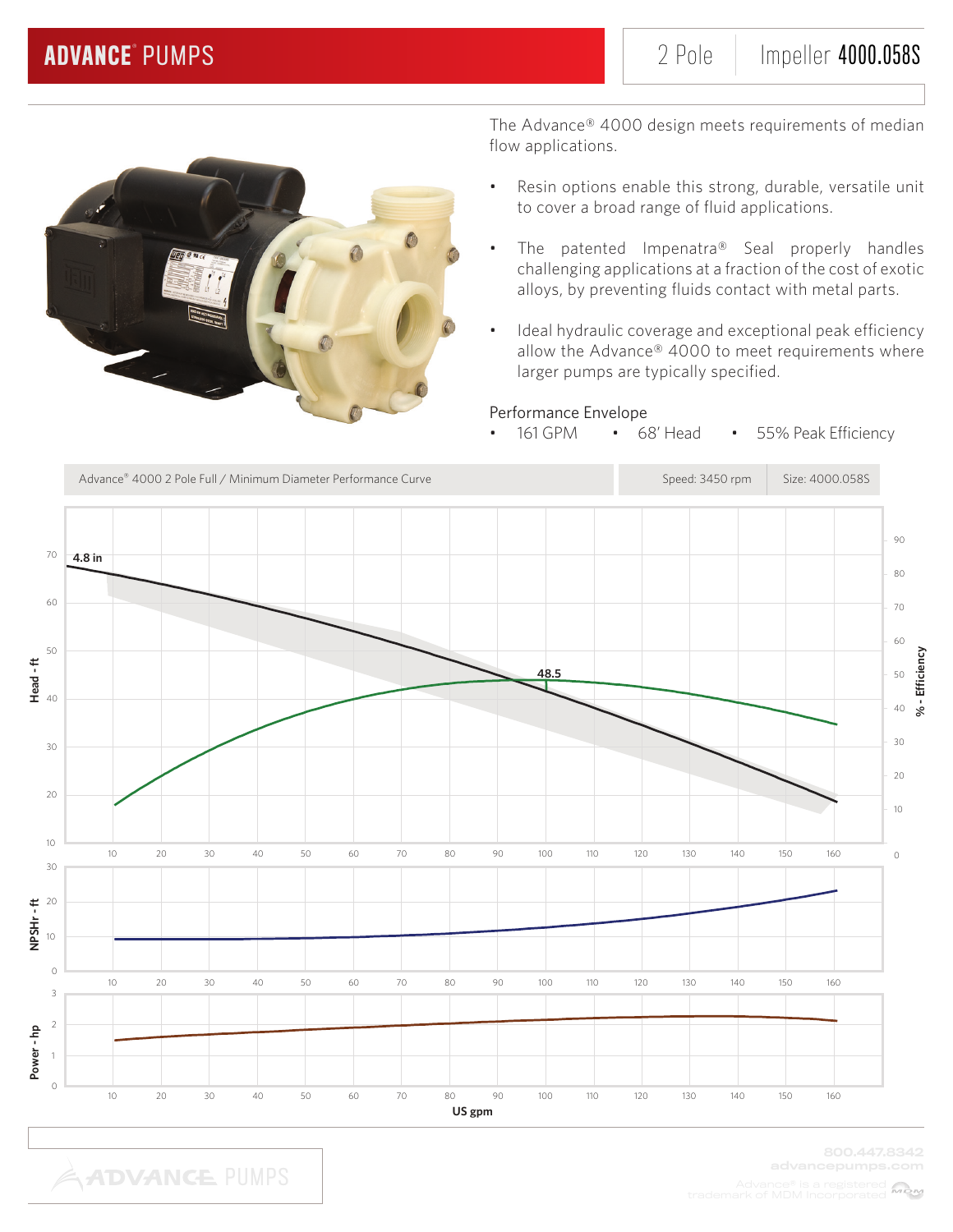

The Advance® 4000 design meets requirements of median flow applications.

- Resin options enable this strong, durable, versatile unit to cover a broad range of fluid applications.
- The patented Impenatra® Seal properly handles challenging applications at a fraction of the cost of exotic alloys, by preventing fluids contact with metal parts.
- Ideal hydraulic coverage and exceptional peak efficiency allow the Advance® 4000 to meet requirements where larger pumps are typically specified.

## Performance Envelope

• 161 GPM • 68' Head • 55% Peak Efficiency